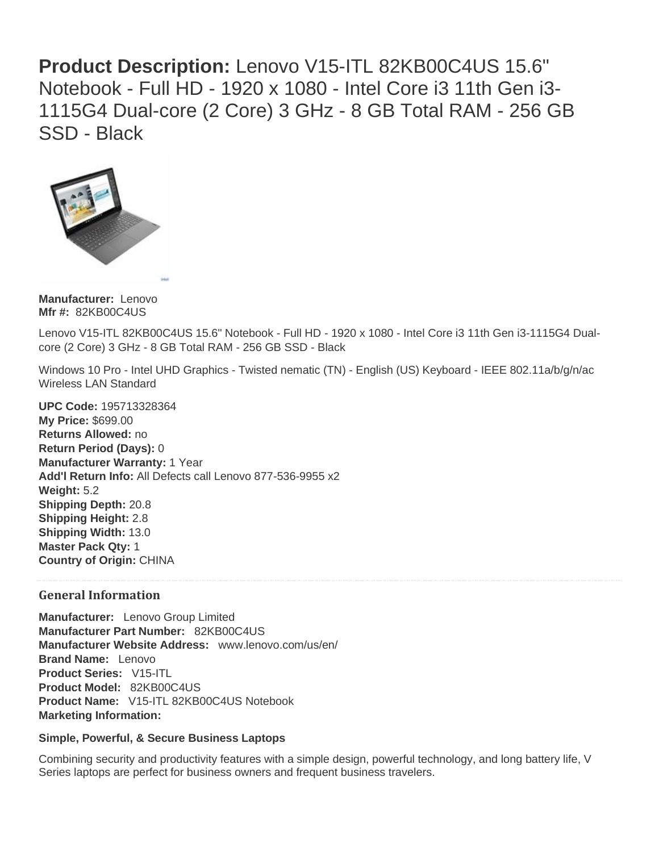**Product Description:** Lenovo V15-ITL 82KB00C4US 15.6" Notebook - Full HD - 1920 x 1080 - Intel Core i3 11th Gen i3- 1115G4 Dual-core (2 Core) 3 GHz - 8 GB Total RAM - 256 GB SSD - Black



**Manufacturer:** Lenovo **Mfr #:** 82KB00C4US

Lenovo V15-ITL 82KB00C4US 15.6" Notebook - Full HD - 1920 x 1080 - Intel Core i3 11th Gen i3-1115G4 Dualcore (2 Core) 3 GHz - 8 GB Total RAM - 256 GB SSD - Black

Windows 10 Pro - Intel UHD Graphics - Twisted nematic (TN) - English (US) Keyboard - IEEE 802.11a/b/g/n/ac Wireless LAN Standard

**UPC Code:** 195713328364 **My Price:** \$699.00 **Returns Allowed:** no **Return Period (Days):** 0 **Manufacturer Warranty:** 1 Year **Add'l Return Info:** All Defects call Lenovo 877-536-9955 x2 **Weight:** 5.2 **Shipping Depth:** 20.8 **Shipping Height:** 2.8 **Shipping Width:** 13.0 **Master Pack Qty:** 1 **Country of Origin:** CHINA

#### **General Information**

**Manufacturer:** Lenovo Group Limited **Manufacturer Part Number:** 82KB00C4US **Manufacturer Website Address:** www.lenovo.com/us/en/ **Brand Name:** Lenovo **Product Series:** V15-ITL **Product Model:** 82KB00C4US **Product Name:** V15-ITL 82KB00C4US Notebook **Marketing Information:**

#### **Simple, Powerful, & Secure Business Laptops**

Combining security and productivity features with a simple design, powerful technology, and long battery life, V Series laptops are perfect for business owners and frequent business travelers.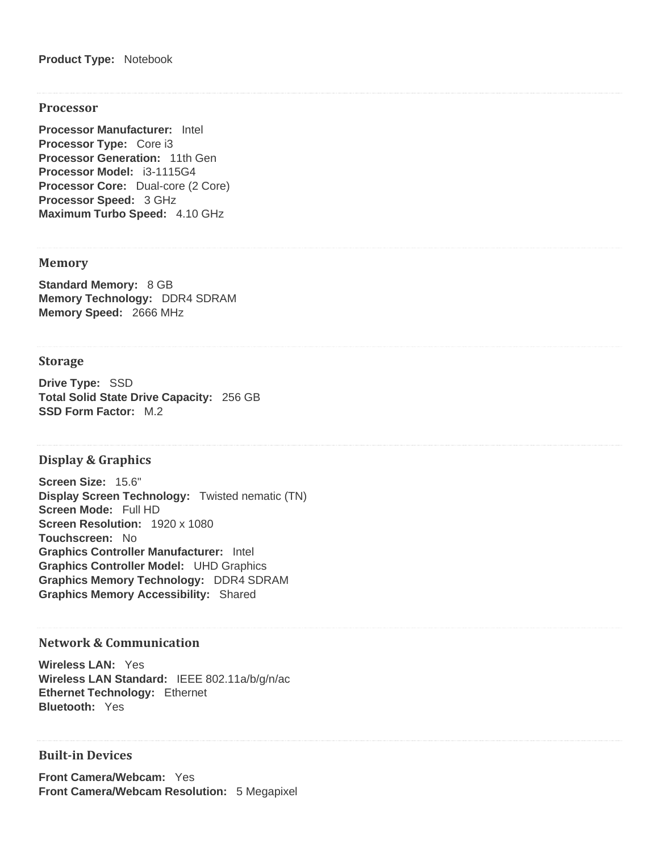**Product Type:** Notebook

#### **Processor**

**Processor Manufacturer:** Intel **Processor Type:** Core i3 **Processor Generation:** 11th Gen **Processor Model:** i3-1115G4 **Processor Core:** Dual-core (2 Core) **Processor Speed:** 3 GHz **Maximum Turbo Speed:** 4.10 GHz

#### **Memory**

**Standard Memory:** 8 GB **Memory Technology:** DDR4 SDRAM **Memory Speed:** 2666 MHz

#### **Storage**

**Drive Type:** SSD **Total Solid State Drive Capacity:** 256 GB **SSD Form Factor:** M.2

#### **Display & Graphics**

**Screen Size:** 15.6" **Display Screen Technology:** Twisted nematic (TN) **Screen Mode:** Full HD **Screen Resolution:** 1920 x 1080 **Touchscreen:** No **Graphics Controller Manufacturer:** Intel **Graphics Controller Model:** UHD Graphics **Graphics Memory Technology:** DDR4 SDRAM **Graphics Memory Accessibility:** Shared

#### **Network & Communication**

**Wireless LAN:** Yes **Wireless LAN Standard:** IEEE 802.11a/b/g/n/ac **Ethernet Technology:** Ethernet **Bluetooth:** Yes

## **Built-in Devices**

**Front Camera/Webcam:** Yes **Front Camera/Webcam Resolution:** 5 Megapixel